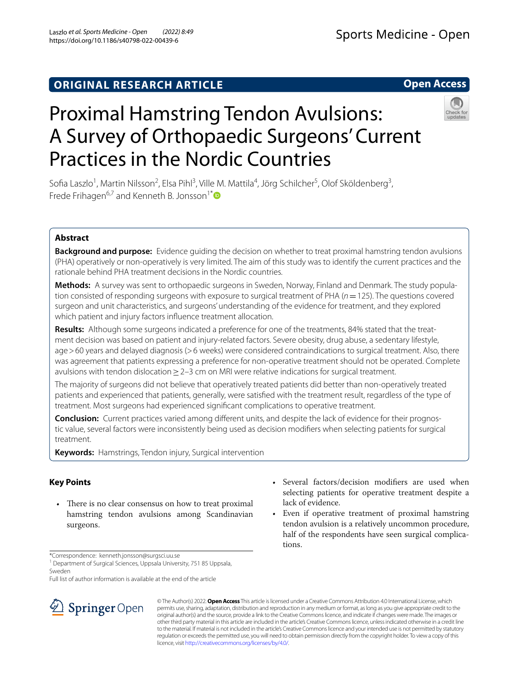## **ORIGINAL RESEARCH ARTICLE**

# Proximal Hamstring Tendon Avulsions: A Survey of Orthopaedic Surgeons' Current Practices in the Nordic Countries

Sofia Laszlo<sup>1</sup>, Martin Nilsson<sup>2</sup>, Elsa Pihl<sup>3</sup>, Ville M. Mattila<sup>4</sup>, Jörg Schilcher<sup>5</sup>, Olof Sköldenberg<sup>3</sup>, Frede Frihagen<sup>6,7</sup> and Kenneth B. Jonsson<sup>1[\\*](http://orcid.org/0000-0002-2268-8008)</sup>

## **Abstract**

**Background and purpose:** Evidence guiding the decision on whether to treat proximal hamstring tendon avulsions (PHA) operatively or non-operatively is very limited. The aim of this study was to identify the current practices and the rationale behind PHA treatment decisions in the Nordic countries.

**Methods:** A survey was sent to orthopaedic surgeons in Sweden, Norway, Finland and Denmark. The study population consisted of responding surgeons with exposure to surgical treatment of PHA (*n*=125). The questions covered surgeon and unit characteristics, and surgeons' understanding of the evidence for treatment, and they explored which patient and injury factors infuence treatment allocation.

**Results:** Although some surgeons indicated a preference for one of the treatments, 84% stated that the treatment decision was based on patient and injury-related factors. Severe obesity, drug abuse, a sedentary lifestyle, age>60 years and delayed diagnosis (>6 weeks) were considered contraindications to surgical treatment. Also, there was agreement that patients expressing a preference for non-operative treatment should not be operated. Complete avulsions with tendon dislocation≥2–3 cm on MRI were relative indications for surgical treatment.

The majority of surgeons did not believe that operatively treated patients did better than non-operatively treated patients and experienced that patients, generally, were satisfed with the treatment result, regardless of the type of treatment. Most surgeons had experienced signifcant complications to operative treatment.

**Conclusion:** Current practices varied among diferent units, and despite the lack of evidence for their prognostic value, several factors were inconsistently being used as decision modifers when selecting patients for surgical treatment.

**Keywords:** Hamstrings, Tendon injury, Surgical intervention

## **Key Points**

- There is no clear consensus on how to treat proximal hamstring tendon avulsions among Scandinavian surgeons.
- Several factors/decision modifers are used when selecting patients for operative treatment despite a lack of evidence.
- Even if operative treatment of proximal hamstring tendon avulsion is a relatively uncommon procedure, half of the respondents have seen surgical complications.

\*Correspondence: kenneth.jonsson@surgsci.uu.se

<sup>1</sup> Department of Surgical Sciences, Uppsala University, 751 85 Uppsala, Sweden

Full list of author information is available at the end of the article



© The Author(s) 2022. **Open Access** This article is licensed under a Creative Commons Attribution 4.0 International License, which permits use, sharing, adaptation, distribution and reproduction in any medium or format, as long as you give appropriate credit to the original author(s) and the source, provide a link to the Creative Commons licence, and indicate if changes were made. The images or other third party material in this article are included in the article's Creative Commons licence, unless indicated otherwise in a credit line to the material. If material is not included in the article's Creative Commons licence and your intended use is not permitted by statutory regulation or exceeds the permitted use, you will need to obtain permission directly from the copyright holder. To view a copy of this licence, visit [http://creativecommons.org/licenses/by/4.0/.](http://creativecommons.org/licenses/by/4.0/)



**Open Access**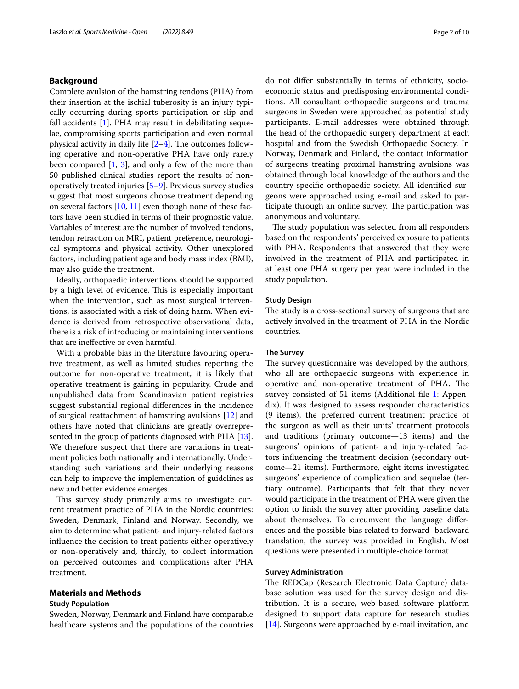## **Background**

Complete avulsion of the hamstring tendons (PHA) from their insertion at the ischial tuberosity is an injury typically occurring during sports participation or slip and fall accidents [[1\]](#page-9-0). PHA may result in debilitating sequelae, compromising sports participation and even normal physical activity in daily life  $[2-4]$  $[2-4]$ . The outcomes following operative and non-operative PHA have only rarely been compared [[1,](#page-9-0) [3\]](#page-9-3), and only a few of the more than 50 published clinical studies report the results of nonoperatively treated injuries [\[5](#page-9-4)[–9](#page-9-5)]. Previous survey studies suggest that most surgeons choose treatment depending on several factors  $[10, 11]$  $[10, 11]$  $[10, 11]$  even though none of these factors have been studied in terms of their prognostic value. Variables of interest are the number of involved tendons, tendon retraction on MRI, patient preference, neurological symptoms and physical activity. Other unexplored factors, including patient age and body mass index (BMI), may also guide the treatment.

Ideally, orthopaedic interventions should be supported by a high level of evidence. This is especially important when the intervention, such as most surgical interventions, is associated with a risk of doing harm. When evidence is derived from retrospective observational data, there is a risk of introducing or maintaining interventions that are inefective or even harmful.

With a probable bias in the literature favouring operative treatment, as well as limited studies reporting the outcome for non-operative treatment, it is likely that operative treatment is gaining in popularity. Crude and unpublished data from Scandinavian patient registries suggest substantial regional diferences in the incidence of surgical reattachment of hamstring avulsions [\[12](#page-9-8)] and others have noted that clinicians are greatly overrepre-sented in the group of patients diagnosed with PHA [\[13](#page-9-9)]. We therefore suspect that there are variations in treatment policies both nationally and internationally. Understanding such variations and their underlying reasons can help to improve the implementation of guidelines as new and better evidence emerges.

This survey study primarily aims to investigate current treatment practice of PHA in the Nordic countries: Sweden, Denmark, Finland and Norway. Secondly, we aim to determine what patient- and injury-related factors infuence the decision to treat patients either operatively or non-operatively and, thirdly, to collect information on perceived outcomes and complications after PHA treatment.

## **Materials and Methods**

## **Study Population**

Sweden, Norway, Denmark and Finland have comparable healthcare systems and the populations of the countries do not difer substantially in terms of ethnicity, socioeconomic status and predisposing environmental conditions. All consultant orthopaedic surgeons and trauma surgeons in Sweden were approached as potential study participants. E-mail addresses were obtained through the head of the orthopaedic surgery department at each hospital and from the Swedish Orthopaedic Society. In Norway, Denmark and Finland, the contact information of surgeons treating proximal hamstring avulsions was obtained through local knowledge of the authors and the country-specifc orthopaedic society. All identifed surgeons were approached using e-mail and asked to participate through an online survey. The participation was anonymous and voluntary.

The study population was selected from all responders based on the respondents' perceived exposure to patients with PHA. Respondents that answered that they were involved in the treatment of PHA and participated in at least one PHA surgery per year were included in the study population.

## **Study Design**

The study is a cross-sectional survey of surgeons that are actively involved in the treatment of PHA in the Nordic countries.

#### **The Survey**

The survey questionnaire was developed by the authors, who all are orthopaedic surgeons with experience in operative and non-operative treatment of PHA. The survey consisted of 51 items (Additional file [1:](#page-8-0) Appendix). It was designed to assess responder characteristics (9 items), the preferred current treatment practice of the surgeon as well as their units' treatment protocols and traditions (primary outcome—13 items) and the surgeons' opinions of patient- and injury-related factors infuencing the treatment decision (secondary outcome—21 items). Furthermore, eight items investigated surgeons' experience of complication and sequelae (tertiary outcome). Participants that felt that they never would participate in the treatment of PHA were given the option to fnish the survey after providing baseline data about themselves. To circumvent the language diferences and the possible bias related to forward–backward translation, the survey was provided in English. Most questions were presented in multiple-choice format.

## **Survey Administration**

The REDCap (Research Electronic Data Capture) database solution was used for the survey design and distribution. It is a secure, web-based software platform designed to support data capture for research studies [[14\]](#page-9-10). Surgeons were approached by e-mail invitation, and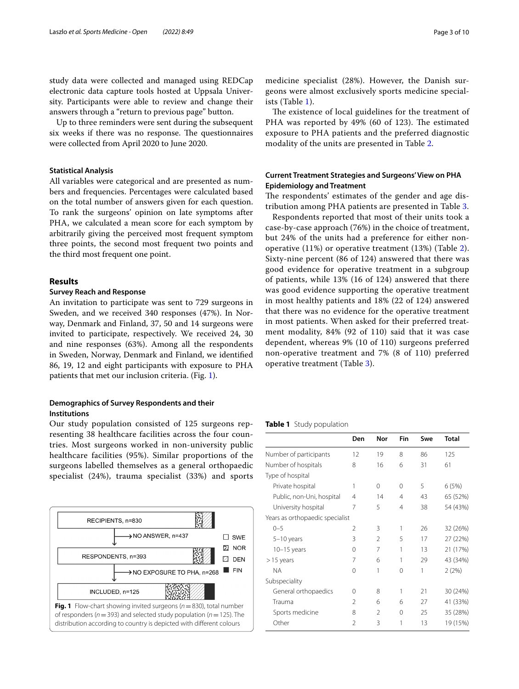study data were collected and managed using REDCap electronic data capture tools hosted at Uppsala University. Participants were able to review and change their answers through a "return to previous page" button.

Up to three reminders were sent during the subsequent six weeks if there was no response. The questionnaires were collected from April 2020 to June 2020.

## **Statistical Analysis**

All variables were categorical and are presented as numbers and frequencies. Percentages were calculated based on the total number of answers given for each question. To rank the surgeons' opinion on late symptoms after PHA, we calculated a mean score for each symptom by arbitrarily giving the perceived most frequent symptom three points, the second most frequent two points and the third most frequent one point.

## **Results**

## **Survey Reach and Response**

An invitation to participate was sent to 729 surgeons in Sweden, and we received 340 responses (47%). In Norway, Denmark and Finland, 37, 50 and 14 surgeons were invited to participate, respectively. We received 24, 30 and nine responses (63%). Among all the respondents in Sweden, Norway, Denmark and Finland, we identifed 86, 19, 12 and eight participants with exposure to PHA patients that met our inclusion criteria. (Fig. [1](#page-2-0)).

## **Demographics of Survey Respondents and their Institutions**

Our study population consisted of 125 surgeons representing 38 healthcare facilities across the four countries. Most surgeons worked in non-university public healthcare facilities (95%). Similar proportions of the surgeons labelled themselves as a general orthopaedic specialist (24%), trauma specialist (33%) and sports

<span id="page-2-0"></span>

medicine specialist (28%). However, the Danish surgeons were almost exclusively sports medicine specialists (Table [1](#page-2-1)).

The existence of local guidelines for the treatment of PHA was reported by 49% (60 of 123). The estimated exposure to PHA patients and the preferred diagnostic modality of the units are presented in Table [2](#page-3-0).

## **Current Treatment Strategies and Surgeons' View on PHA Epidemiology and Treatment**

The respondents' estimates of the gender and age distribution among PHA patients are presented in Table [3.](#page-4-0)

Respondents reported that most of their units took a case-by-case approach (76%) in the choice of treatment, but 24% of the units had a preference for either nonoperative (11%) or operative treatment (13%) (Table [2](#page-3-0)). Sixty-nine percent (86 of 124) answered that there was good evidence for operative treatment in a subgroup of patients, while 13% (16 of 124) answered that there was good evidence supporting the operative treatment in most healthy patients and 18% (22 of 124) answered that there was no evidence for the operative treatment in most patients. When asked for their preferred treatment modality, 84% (92 of 110) said that it was case dependent, whereas 9% (10 of 110) surgeons preferred non-operative treatment and 7% (8 of 110) preferred operative treatment (Table [3](#page-4-0)).

## <span id="page-2-1"></span>**Table 1** Study population

|                                 | Den      | Nor            | Fin      | Swe | <b>Total</b> |
|---------------------------------|----------|----------------|----------|-----|--------------|
| Number of participants          | 12       | 19             | 8        | 86  | 125          |
| Number of hospitals             | 8        | 16             | 6        | 31  | 61           |
| Type of hospital                |          |                |          |     |              |
| Private hospital                | 1        | 0              | $\Omega$ | 5   | 6(5%)        |
| Public, non-Uni, hospital       | 4        | 14             | 4        | 43  | 65 (52%)     |
| University hospital             | 7        | 5              | 4        | 38  | 54 (43%)     |
| Years as orthopaedic specialist |          |                |          |     |              |
| $0 - 5$                         | 2        | 3              | 1        | 26  | 32 (26%)     |
| $5-10$ years                    | 3        | $\mathfrak{D}$ | 5        | 17  | 27 (22%)     |
| $10-15$ years                   | 0        | 7              | 1        | 13  | 21 (17%)     |
| $>15$ years                     | 7        | 6              | 1        | 29  | 43 (34%)     |
| <b>NA</b>                       | $\Omega$ | 1              | $\Omega$ | 1   | 2(2%)        |
| Subspeciality                   |          |                |          |     |              |
| General orthopaedics            | ∩        | 8              | 1        | 21  | 30 (24%)     |
| Trauma                          | 2        | 6              | 6        | 27  | 41 (33%)     |
| Sports medicine                 | 8        | $\mathfrak{D}$ | $\Omega$ | 25  | 35 (28%)     |
| Other                           | 2        | 3              | 1        | 13  | 19 (15%)     |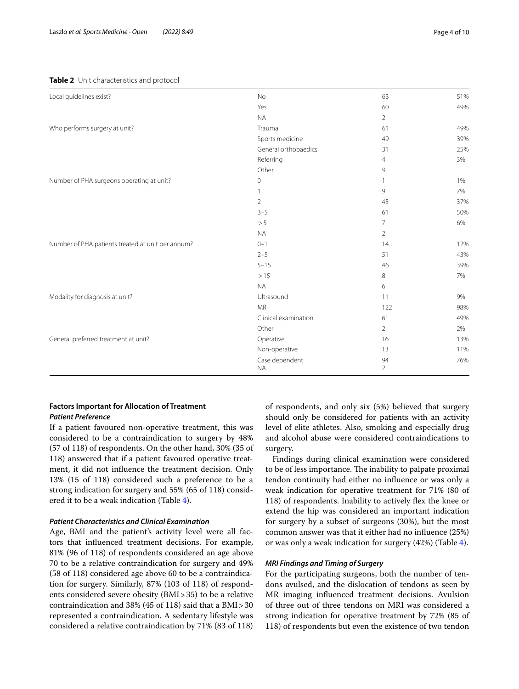## <span id="page-3-0"></span>**Table 2** Unit characteristics and protocol

| Local guidelines exist?                           | <b>No</b>                   | 63                   | 51% |
|---------------------------------------------------|-----------------------------|----------------------|-----|
|                                                   | Yes                         | 60                   | 49% |
|                                                   | <b>NA</b>                   | $\overline{2}$       |     |
| Who performs surgery at unit?                     | Trauma                      | 61                   | 49% |
|                                                   | Sports medicine             | 49                   | 39% |
|                                                   | General orthopaedics        | 31                   | 25% |
|                                                   | Referring                   | 4                    | 3%  |
|                                                   | Other                       | 9                    |     |
| Number of PHA surgeons operating at unit?         | 0                           |                      | 1%  |
|                                                   |                             | 9                    | 7%  |
|                                                   | $\overline{2}$              | 45                   | 37% |
|                                                   | $3 - 5$                     | 61                   | 50% |
|                                                   | > 5                         | 7                    | 6%  |
|                                                   | <b>NA</b>                   | $\overline{2}$       |     |
| Number of PHA patients treated at unit per annum? | $0 - 1$                     | 14                   | 12% |
|                                                   | $2 - 5$                     | 51                   | 43% |
|                                                   | $5 - 15$                    | 46                   | 39% |
|                                                   | >15                         | $\,8\,$              | 7%  |
|                                                   | <b>NA</b>                   | 6                    |     |
| Modality for diagnosis at unit?                   | Ultrasound                  | 11                   | 9%  |
|                                                   | <b>MRI</b>                  | 122                  | 98% |
|                                                   | Clinical examination        | 61                   | 49% |
|                                                   | Other                       | $\overline{2}$       | 2%  |
| General preferred treatment at unit?              | Operative                   | 16                   | 13% |
|                                                   | Non-operative               | 13                   | 11% |
|                                                   | Case dependent<br><b>NA</b> | 94<br>$\overline{2}$ | 76% |

## **Factors Important for Allocation of Treatment** *Patient Preference*

If a patient favoured non-operative treatment, this was considered to be a contraindication to surgery by 48% (57 of 118) of respondents. On the other hand, 30% (35 of 118) answered that if a patient favoured operative treatment, it did not infuence the treatment decision. Only 13% (15 of 118) considered such a preference to be a strong indication for surgery and 55% (65 of 118) considered it to be a weak indication (Table [4](#page-5-0)).

## *Patient Characteristics and Clinical Examination*

Age, BMI and the patient's activity level were all factors that infuenced treatment decisions. For example, 81% (96 of 118) of respondents considered an age above 70 to be a relative contraindication for surgery and 49% (58 of 118) considered age above 60 to be a contraindication for surgery. Similarly, 87% (103 of 118) of respondents considered severe obesity (BMI>35) to be a relative contraindication and 38% (45 of 118) said that a BMI>30 represented a contraindication. A sedentary lifestyle was considered a relative contraindication by 71% (83 of 118) of respondents, and only six (5%) believed that surgery should only be considered for patients with an activity level of elite athletes. Also, smoking and especially drug and alcohol abuse were considered contraindications to surgery.

Findings during clinical examination were considered to be of less importance. The inability to palpate proximal tendon continuity had either no infuence or was only a weak indication for operative treatment for 71% (80 of 118) of respondents. Inability to actively fex the knee or extend the hip was considered an important indication for surgery by a subset of surgeons (30%), but the most common answer was that it either had no infuence (25%) or was only a weak indication for surgery (42%) (Table [4](#page-5-0)).

## *MRI Findings and Timing of Surgery*

For the participating surgeons, both the number of tendons avulsed, and the dislocation of tendons as seen by MR imaging infuenced treatment decisions. Avulsion of three out of three tendons on MRI was considered a strong indication for operative treatment by 72% (85 of 118) of respondents but even the existence of two tendon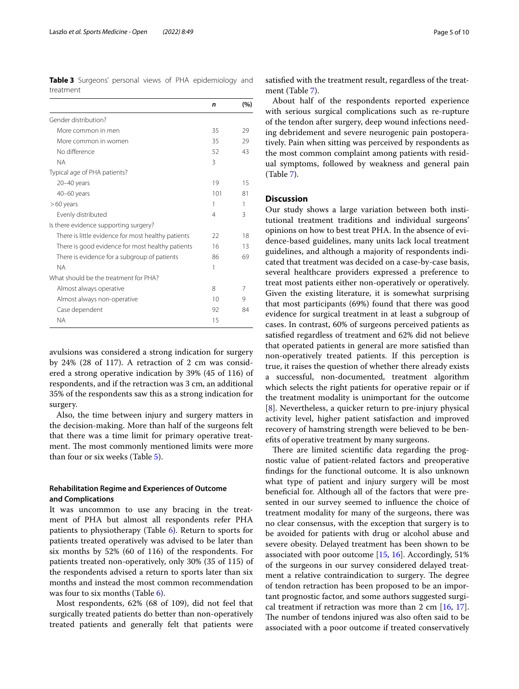<span id="page-4-0"></span>**Table 3** Surgeons' personal views of PHA epidemiology and treatment

|                                                    | n   | (%) |
|----------------------------------------------------|-----|-----|
| Gender distribution?                               |     |     |
| More common in men                                 | 35  | 29  |
| More common in women                               | 35  | 29  |
| No difference                                      | 52  | 43  |
| <b>NA</b>                                          | 3   |     |
| Typical age of PHA patients?                       |     |     |
| 20-40 years                                        | 19  | 15  |
| $40 - 60$ years                                    | 101 | 81  |
| $>60$ years                                        | 1   |     |
| Evenly distributed                                 | 4   | 3   |
| Is there evidence supporting surgery?              |     |     |
| There is little evidence for most healthy patients | 22  | 18  |
| There is good evidence for most healthy patients   | 16  | 13  |
| There is evidence for a subgroup of patients       | 86  | 69  |
| <b>NA</b>                                          | 1   |     |
| What should be the treatment for PHA?              |     |     |
| Almost always operative                            | 8   | 7   |
| Almost always non-operative                        | 10  | 9   |
| Case dependent                                     | 92  | 84  |
| <b>NA</b>                                          | 15  |     |

avulsions was considered a strong indication for surgery by 24% (28 of 117). A retraction of 2 cm was considered a strong operative indication by 39% (45 of 116) of respondents, and if the retraction was 3 cm, an additional 35% of the respondents saw this as a strong indication for surgery.

Also, the time between injury and surgery matters in the decision-making. More than half of the surgeons felt that there was a time limit for primary operative treatment. The most commonly mentioned limits were more than four or six weeks (Table [5\)](#page-6-0).

## **Rehabilitation Regime and Experiences of Outcome and Complications**

It was uncommon to use any bracing in the treatment of PHA but almost all respondents refer PHA patients to physiotherapy (Table [6](#page-7-0)). Return to sports for patients treated operatively was advised to be later than six months by 52% (60 of 116) of the respondents. For patients treated non-operatively, only 30% (35 of 115) of the respondents advised a return to sports later than six months and instead the most common recommendation was four to six months (Table [6](#page-7-0)).

Most respondents, 62% (68 of 109), did not feel that surgically treated patients do better than non-operatively treated patients and generally felt that patients were

satisfed with the treatment result, regardless of the treatment (Table [7](#page-8-1)).

About half of the respondents reported experience with serious surgical complications such as re-rupture of the tendon after surgery, deep wound infections needing debridement and severe neurogenic pain postoperatively. Pain when sitting was perceived by respondents as the most common complaint among patients with residual symptoms, followed by weakness and general pain (Table [7\)](#page-8-1).

## **Discussion**

Our study shows a large variation between both institutional treatment traditions and individual surgeons' opinions on how to best treat PHA. In the absence of evidence-based guidelines, many units lack local treatment guidelines, and although a majority of respondents indicated that treatment was decided on a case-by-case basis, several healthcare providers expressed a preference to treat most patients either non-operatively or operatively. Given the existing literature, it is somewhat surprising that most participants (69%) found that there was good evidence for surgical treatment in at least a subgroup of cases. In contrast, 60% of surgeons perceived patients as satisfed regardless of treatment and 62% did not believe that operated patients in general are more satisfed than non-operatively treated patients. If this perception is true, it raises the question of whether there already exists a successful, non-documented, treatment algorithm which selects the right patients for operative repair or if the treatment modality is unimportant for the outcome [[8\]](#page-9-11). Nevertheless, a quicker return to pre-injury physical activity level, higher patient satisfaction and improved recovery of hamstring strength were believed to be benefts of operative treatment by many surgeons.

There are limited scientific data regarding the prognostic value of patient-related factors and preoperative fndings for the functional outcome. It is also unknown what type of patient and injury surgery will be most benefcial for. Although all of the factors that were presented in our survey seemed to infuence the choice of treatment modality for many of the surgeons, there was no clear consensus, with the exception that surgery is to be avoided for patients with drug or alcohol abuse and severe obesity. Delayed treatment has been shown to be associated with poor outcome [[15,](#page-9-12) [16\]](#page-9-13). Accordingly, 51% of the surgeons in our survey considered delayed treatment a relative contraindication to surgery. The degree of tendon retraction has been proposed to be an important prognostic factor, and some authors suggested surgical treatment if retraction was more than 2 cm [\[16,](#page-9-13) [17](#page-9-14)]. The number of tendons injured was also often said to be associated with a poor outcome if treated conservatively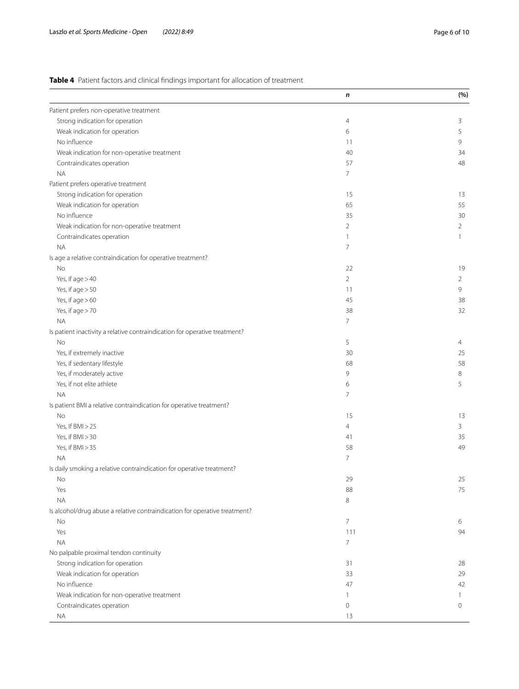## <span id="page-5-0"></span>**Table 4** Patient factors and clinical fndings important for allocation of treatment

|                                                                            | n              | (%)            |
|----------------------------------------------------------------------------|----------------|----------------|
| Patient prefers non-operative treatment                                    |                |                |
| Strong indication for operation                                            | 4              | 3              |
| Weak indication for operation                                              | 6              | 5              |
| No influence                                                               | 11             | 9              |
| Weak indication for non-operative treatment                                | 40             | 34             |
| Contraindicates operation                                                  | 57             | 48             |
| <b>NA</b>                                                                  | $\overline{7}$ |                |
| Patient prefers operative treatment                                        |                |                |
| Strong indication for operation                                            | 15             | 13             |
| Weak indication for operation                                              | 65             | 55             |
| No influence                                                               | 35             | 30             |
| Weak indication for non-operative treatment                                | $\overline{2}$ | $\overline{2}$ |
| Contraindicates operation                                                  | $\mathbf{1}$   | $\mathbf{1}$   |
| <b>NA</b>                                                                  | 7              |                |
| Is age a relative contraindication for operative treatment?                |                |                |
| No                                                                         | 22             | 19             |
| Yes, if $age > 40$                                                         | $\overline{2}$ | $\overline{2}$ |
| Yes, if age > 50                                                           | 11             | 9              |
| Yes, if age > 60                                                           | 45             | 38             |
| Yes, if age > 70                                                           | 38             | 32             |
| <b>NA</b>                                                                  | 7              |                |
| Is patient inactivity a relative contraindication for operative treatment? |                |                |
| No                                                                         | 5              | 4              |
| Yes, if extremely inactive                                                 | 30             | 25             |
|                                                                            |                | 58             |
| Yes, if sedentary lifestyle<br>Yes, if moderately active                   | 68<br>9        | 8              |
|                                                                            |                |                |
| Yes, if not elite athlete                                                  | 6<br>7         | 5              |
| <b>NA</b>                                                                  |                |                |
| Is patient BMI a relative contraindication for operative treatment?        |                |                |
| No                                                                         | 15             | 13             |
| Yes, If BMI > 25                                                           | $\overline{4}$ | 3              |
| Yes, if BMI > 30                                                           | 41             | 35             |
| Yes, if BMI > 35                                                           | 58             | 49             |
| <b>NA</b>                                                                  | $\overline{7}$ |                |
| Is daily smoking a relative contraindication for operative treatment?      |                |                |
| No                                                                         | 29             | 25             |
| Yes                                                                        | 88             | 75             |
| <b>NA</b>                                                                  | 8              |                |
| Is alcohol/drug abuse a relative contraindication for operative treatment? |                |                |
| No                                                                         | $\overline{7}$ | 6              |
| Yes                                                                        | 111            | 94             |
| <b>NA</b>                                                                  | $\overline{7}$ |                |
| No palpable proximal tendon continuity                                     |                |                |
| Strong indication for operation                                            | 31             | 28             |
| Weak indication for operation                                              | 33             | 29             |
| No influence                                                               | 47             | 42             |
| Weak indication for non-operative treatment                                | 1              | 1.             |
| Contraindicates operation                                                  | 0              | 0              |
| <b>NA</b>                                                                  | 13             |                |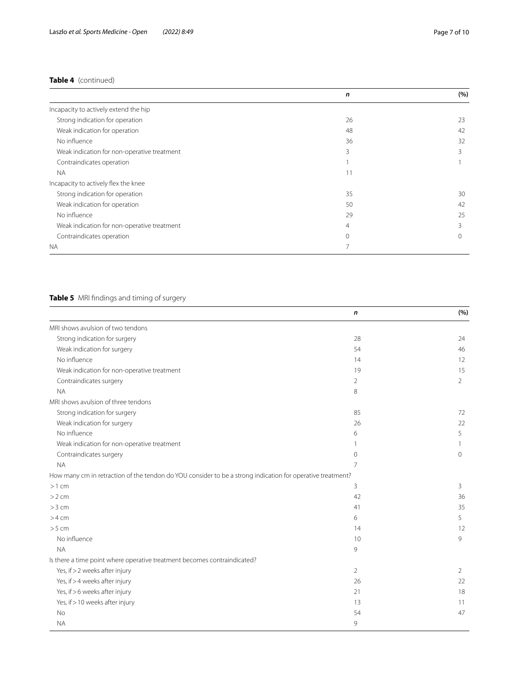## **Table 4** (continued)

|                                             | n  | (%) |
|---------------------------------------------|----|-----|
| Incapacity to actively extend the hip       |    |     |
| Strong indication for operation             | 26 | 23  |
| Weak indication for operation               | 48 | 42  |
| No influence                                | 36 | 32  |
| Weak indication for non-operative treatment | 3  | 3   |
| Contraindicates operation                   |    |     |
| <b>NA</b>                                   | 11 |     |
| Incapacity to actively flex the knee        |    |     |
| Strong indication for operation             | 35 | 30  |
| Weak indication for operation               | 50 | 42  |
| No influence                                | 29 | 25  |
| Weak indication for non-operative treatment | 4  | 3   |
| Contraindicates operation                   | Ω  |     |
| <b>NA</b>                                   |    |     |

## <span id="page-6-0"></span>**Table 5** MRI fndings and timing of surgery

|                                                                                                            | n        | (%)            |
|------------------------------------------------------------------------------------------------------------|----------|----------------|
| MRI shows avulsion of two tendons                                                                          |          |                |
| Strong indication for surgery                                                                              | 28       | 24             |
| Weak indication for surgery                                                                                | 54       | 46             |
| No influence                                                                                               | 14       | 12             |
| Weak indication for non-operative treatment                                                                | 19       | 15             |
| Contraindicates surgery                                                                                    | 2        | $\overline{2}$ |
| <b>NA</b>                                                                                                  | 8        |                |
| MRI shows avulsion of three tendons                                                                        |          |                |
| Strong indication for surgery                                                                              | 85       | 72             |
| Weak indication for surgery                                                                                | 26       | 22             |
| No influence                                                                                               | 6        | 5              |
| Weak indication for non-operative treatment                                                                | 1        | 1              |
| Contraindicates surgery                                                                                    | $\Omega$ | $\Omega$       |
| <b>NA</b>                                                                                                  | 7        |                |
| How many cm in retraction of the tendon do YOU consider to be a strong indication for operative treatment? |          |                |
| $>1$ cm                                                                                                    | 3        | 3              |
| $>2$ cm                                                                                                    | 42       | 36             |
| $>3$ cm                                                                                                    | 41       | 35             |
| $>4$ cm                                                                                                    | 6        | 5              |
| $>5$ cm                                                                                                    | 14       | 12             |
| No influence                                                                                               | 10       | 9              |
| <b>NA</b>                                                                                                  | 9        |                |
| Is there a time point where operative treatment becomes contraindicated?                                   |          |                |
| Yes, if > 2 weeks after injury                                                                             | 2        | 2              |
| Yes, if > 4 weeks after injury                                                                             | 26       | 22             |
| Yes, if > 6 weeks after injury                                                                             | 21       | 18             |
| Yes, if > 10 weeks after injury                                                                            | 13       | 11             |
| <b>No</b>                                                                                                  | 54       | 47             |
| <b>NA</b>                                                                                                  | 9        |                |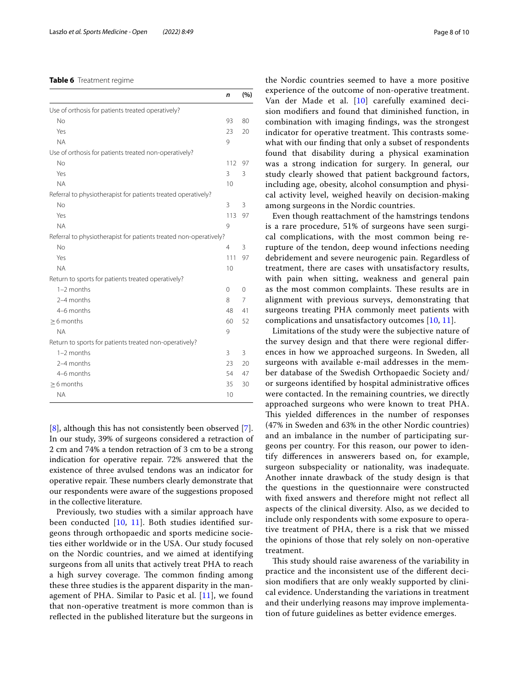## <span id="page-7-0"></span>**Table 6** Treatment regime

|                                                                   | n   | (%) |
|-------------------------------------------------------------------|-----|-----|
| Use of orthosis for patients treated operatively?                 |     |     |
| No                                                                | 93  | 80  |
| Yes                                                               | 23  | 20  |
| <b>NA</b>                                                         | 9   |     |
| Use of orthosis for patients treated non-operatively?             |     |     |
| <b>No</b>                                                         | 112 | 97  |
| Yes                                                               | 3   | 3   |
| <b>NA</b>                                                         | 10  |     |
| Referral to physiotherapist for patients treated operatively?     |     |     |
| No                                                                | 3   | 3   |
| Yes                                                               | 113 | 97  |
| <b>NA</b>                                                         | 9   |     |
| Referral to physiotherapist for patients treated non-operatively? |     |     |
| No                                                                | 4   | 3   |
| Yes                                                               | 111 | 97  |
| <b>NA</b>                                                         | 10  |     |
| Return to sports for patients treated operatively?                |     |     |
| $1-2$ months                                                      | 0   | 0   |
| 2-4 months                                                        | 8   | 7   |
| 4-6 months                                                        | 48  | 41  |
| $>6$ months                                                       | 60  | 52  |
| <b>NA</b>                                                         | 9   |     |
| Return to sports for patients treated non-operatively?            |     |     |
| $1-2$ months                                                      | 3   | 3   |
| 2-4 months                                                        | 23  | 20  |
| 4-6 months                                                        | 54  | 47  |
| $\geq$ 6 months                                                   | 35  | 30  |
| <b>NA</b>                                                         | 10  |     |

[[8\]](#page-9-11), although this has not consistently been observed [\[7](#page-9-15)]. In our study, 39% of surgeons considered a retraction of 2 cm and 74% a tendon retraction of 3 cm to be a strong indication for operative repair. 72% answered that the existence of three avulsed tendons was an indicator for operative repair. These numbers clearly demonstrate that our respondents were aware of the suggestions proposed in the collective literature.

Previously, two studies with a similar approach have been conducted [[10,](#page-9-6) [11\]](#page-9-7). Both studies identifed surgeons through orthopaedic and sports medicine societies either worldwide or in the USA. Our study focused on the Nordic countries, and we aimed at identifying surgeons from all units that actively treat PHA to reach a high survey coverage. The common finding among these three studies is the apparent disparity in the management of PHA. Similar to Pasic et al. [[11](#page-9-7)], we found that non-operative treatment is more common than is refected in the published literature but the surgeons in

the Nordic countries seemed to have a more positive experience of the outcome of non-operative treatment. Van der Made et al. [\[10](#page-9-6)] carefully examined decision modifers and found that diminished function, in combination with imaging fndings, was the strongest indicator for operative treatment. This contrasts somewhat with our fnding that only a subset of respondents found that disability during a physical examination was a strong indication for surgery. In general, our study clearly showed that patient background factors, including age, obesity, alcohol consumption and physical activity level, weighed heavily on decision-making among surgeons in the Nordic countries.

Even though reattachment of the hamstrings tendons is a rare procedure, 51% of surgeons have seen surgical complications, with the most common being rerupture of the tendon, deep wound infections needing debridement and severe neurogenic pain. Regardless of treatment, there are cases with unsatisfactory results, with pain when sitting, weakness and general pain as the most common complaints. These results are in alignment with previous surveys, demonstrating that surgeons treating PHA commonly meet patients with complications and unsatisfactory outcomes [[10,](#page-9-6) [11\]](#page-9-7).

Limitations of the study were the subjective nature of the survey design and that there were regional diferences in how we approached surgeons. In Sweden, all surgeons with available e-mail addresses in the member database of the Swedish Orthopaedic Society and/ or surgeons identified by hospital administrative offices were contacted. In the remaining countries, we directly approached surgeons who were known to treat PHA. This yielded differences in the number of responses (47% in Sweden and 63% in the other Nordic countries) and an imbalance in the number of participating surgeons per country. For this reason, our power to identify diferences in answerers based on, for example, surgeon subspeciality or nationality, was inadequate. Another innate drawback of the study design is that the questions in the questionnaire were constructed with fxed answers and therefore might not refect all aspects of the clinical diversity. Also, as we decided to include only respondents with some exposure to operative treatment of PHA, there is a risk that we missed the opinions of those that rely solely on non-operative treatment.

This study should raise awareness of the variability in practice and the inconsistent use of the diferent decision modifers that are only weakly supported by clinical evidence. Understanding the variations in treatment and their underlying reasons may improve implementation of future guidelines as better evidence emerges.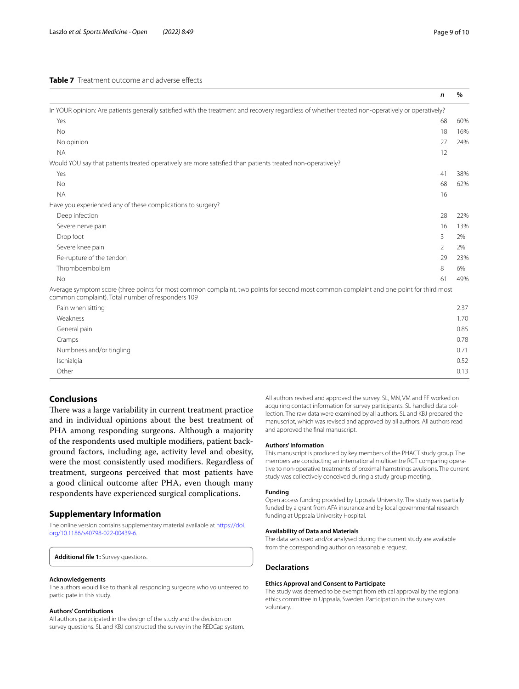<span id="page-8-1"></span>

|                                                                                                                                                                                              | $\mathsf{n}$   | $\%$ |
|----------------------------------------------------------------------------------------------------------------------------------------------------------------------------------------------|----------------|------|
| In YOUR opinion: Are patients generally satisfied with the treatment and recovery regardless of whether treated non-operatively or operatively?                                              |                |      |
| Yes                                                                                                                                                                                          | 68             | 60%  |
| <b>No</b>                                                                                                                                                                                    | 18             | 16%  |
| No opinion                                                                                                                                                                                   | 27             | 24%  |
| <b>NA</b>                                                                                                                                                                                    | 12             |      |
| Would YOU say that patients treated operatively are more satisfied than patients treated non-operatively?                                                                                    |                |      |
| Yes                                                                                                                                                                                          | 41             | 38%  |
| <b>No</b>                                                                                                                                                                                    | 68             | 62%  |
| <b>NA</b>                                                                                                                                                                                    | 16             |      |
| Have you experienced any of these complications to surgery?                                                                                                                                  |                |      |
| Deep infection                                                                                                                                                                               | 28             | 22%  |
| Severe nerve pain                                                                                                                                                                            | 16             | 13%  |
| Drop foot                                                                                                                                                                                    | 3              | 2%   |
| Severe knee pain                                                                                                                                                                             | $\overline{2}$ | 2%   |
| Re-rupture of the tendon                                                                                                                                                                     | 29             | 23%  |
| Thromboembolism                                                                                                                                                                              | 8              | 6%   |
| <b>No</b>                                                                                                                                                                                    | 61             | 49%  |
| Average symptom score (three points for most common complaint, two points for second most common complaint and one point for third most<br>common complaint). Total number of responders 109 |                |      |
| Pain when sitting                                                                                                                                                                            |                | 2.37 |
| Weakness                                                                                                                                                                                     |                | 1.70 |
| General pain                                                                                                                                                                                 |                | 0.85 |
| Cramps                                                                                                                                                                                       |                | 0.78 |

Numbness and/or tingling 0.71 and 0.71 and 0.71 and 0.71 and 0.71 and 0.71 and 0.71 and 0.71 and 0.71 and 0.71 and 0.71 and 0.71 and 0.71 and 0.71 and 0.71 and 0.71 and 0.71 and 0.71 and 0.71 and 0.71 and 0.71 and 0.71 and Ischialgia 0.52 Other 2013 **Other 2013** 2013 2014 2022 2023 2024 2022 2023 2024 2022 2023 2024 2022 2023 2024 2022 2023 2024 2022 2023 2024 2022 2023 2024 2022 2023 2024 2022 2023 2024 2022 2023 2024 2022 2023 2024 2022 2023 2024 2022 202

## **Conclusions**

There was a large variability in current treatment practice and in individual opinions about the best treatment of PHA among responding surgeons. Although a majority of the respondents used multiple modifers, patient background factors, including age, activity level and obesity, were the most consistently used modifers. Regardless of treatment, surgeons perceived that most patients have a good clinical outcome after PHA, even though many respondents have experienced surgical complications.

## **Supplementary Information**

The online version contains supplementary material available at [https://doi.](https://doi.org/10.1186/s40798-022-00439-6) [org/10.1186/s40798-022-00439-6](https://doi.org/10.1186/s40798-022-00439-6).

<span id="page-8-0"></span>**Additional fle 1:** Survey questions.

#### **Acknowledgements**

The authors would like to thank all responding surgeons who volunteered to participate in this study.

#### **Authors' Contributions**

All authors participated in the design of the study and the decision on survey questions. SL and KBJ constructed the survey in the REDCap system. All authors revised and approved the survey. SL, MN, VM and FF worked on acquiring contact information for survey participants. SL handled data collection. The raw data were examined by all authors. SL and KBJ prepared the manuscript, which was revised and approved by all authors. All authors read and approved the fnal manuscript.

## **Authors' Information**

This manuscript is produced by key members of the PHACT study group. The members are conducting an international multicentre RCT comparing operative to non-operative treatments of proximal hamstrings avulsions. The current study was collectively conceived during a study group meeting.

## **Funding**

Open access funding provided by Uppsala University. The study was partially funded by a grant from AFA insurance and by local governmental research funding at Uppsala University Hospital.

#### **Availability of Data and Materials**

The data sets used and/or analysed during the current study are available from the corresponding author on reasonable request.

## **Declarations**

## **Ethics Approval and Consent to Participate**

The study was deemed to be exempt from ethical approval by the regional ethics committee in Uppsala, Sweden. Participation in the survey was voluntary.